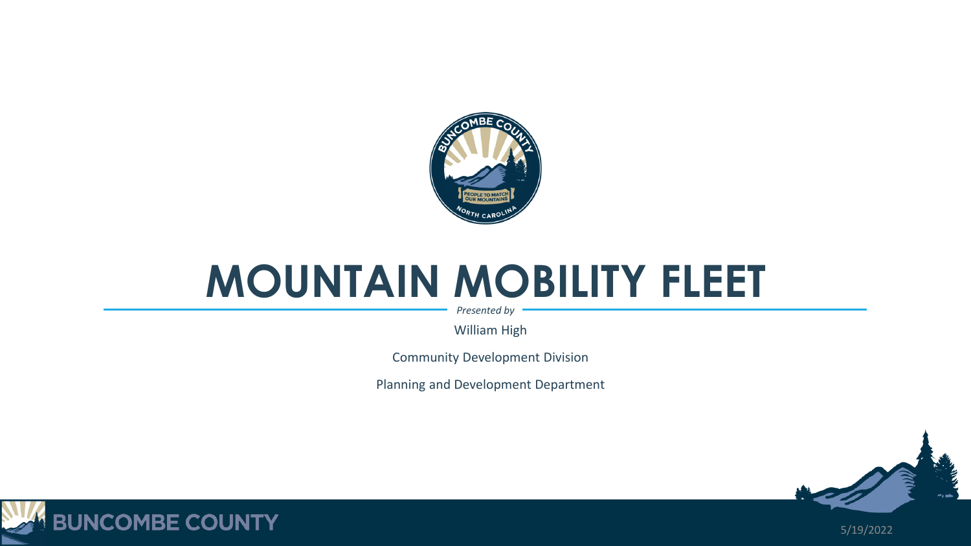

## **MOUNTAIN MOBILITY FLEET**

*Presented by*

William High

Community Development Division

Planning and Development Department





5/19/2022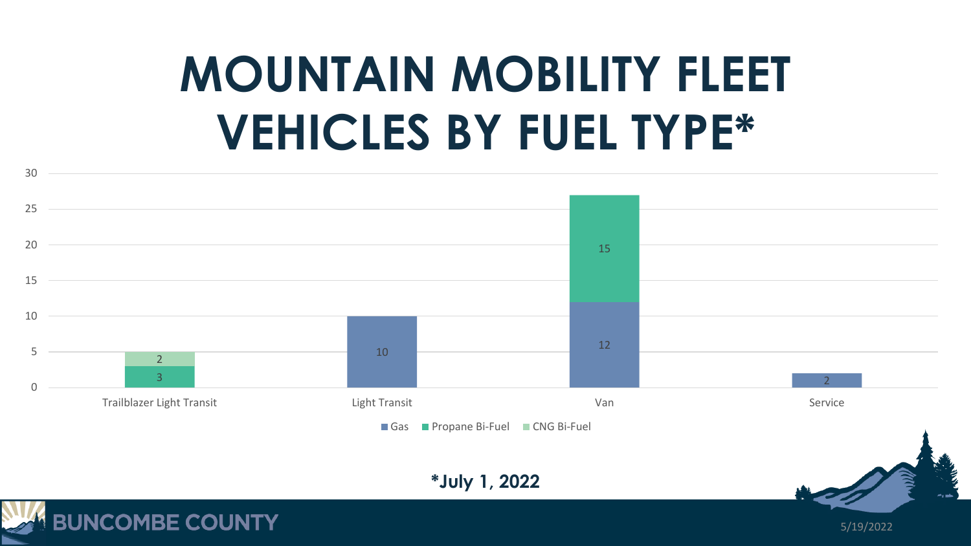## **MOUNTAIN MOBILITY FLEET VEHICLES BY FUEL TYPE\***



**BUNCOMBE COUNTY** 

5/19/2022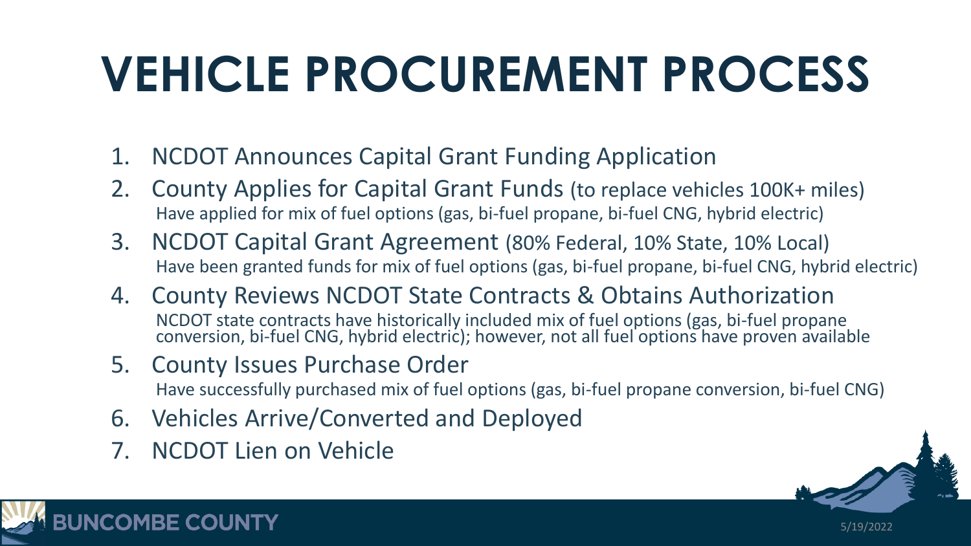## **VEHICLE PROCUREMENT PROCESS**

- 1. NCDOT Announces Capital Grant Funding Application
- 2. County Applies for Capital Grant Funds (to replace vehicles 100K+ miles) Have applied for mix of fuel options (gas, bi-fuel propane, bi-fuel CNG, hybrid electric)
- 3. NCDOT Capital Grant Agreement (80% Federal, 10% State, 10% Local) Have been granted funds for mix of fuel options (gas, bi-fuel propane, bi-fuel CNG, hybrid electric)
- 4. County Reviews NCDOT State Contracts & Obtains Authorization NCDOT state contracts have historically included mix of fuel options (gas, bi-fuel propane conversion, bi-fuel CNG, hybrid electric); however, not all fuel options have proven available
- 5. County Issues Purchase Order

Have successfully purchased mix of fuel options (gas, bi-fuel propane conversion, bi-fuel CNG)

- 6. Vehicles Arrive/Converted and Deployed
- 7. NCDOT Lien on Vehicle